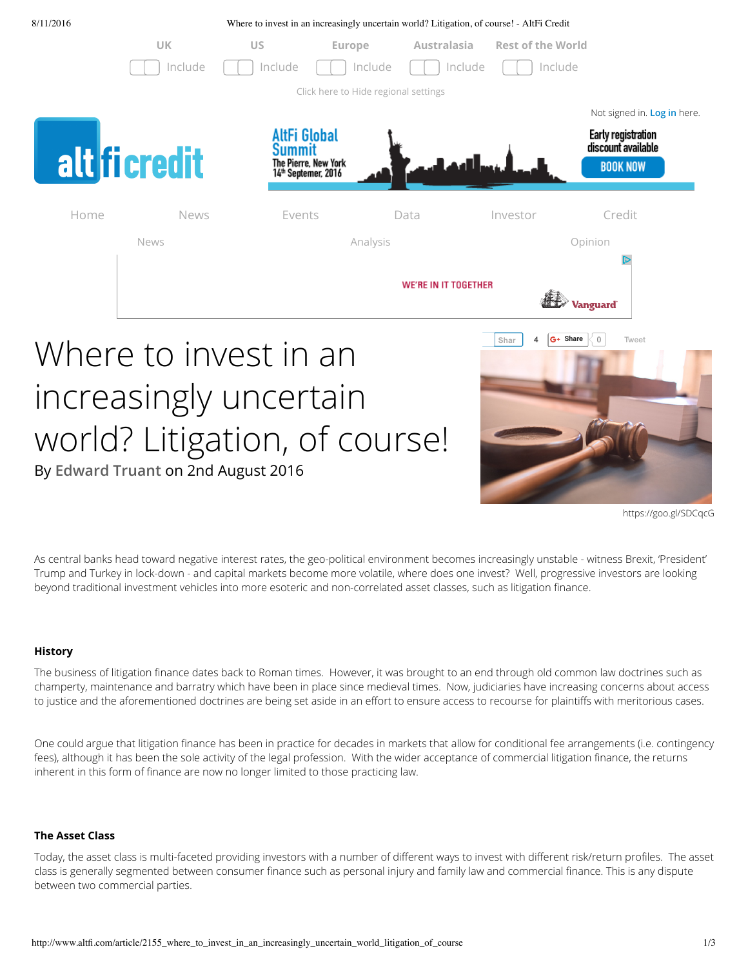

# Where to invest in an increasingly uncertain world? Litigation, of course! By **Edward Truant** on 2nd August 2016



https://goo.gl/SDCqcG

As central banks head toward negative interest rates, the geo-political environment becomes increasingly unstable - witness Brexit, 'President' Trump and Turkey in lock-down - and capital markets become more volatile, where does one invest? Well, progressive investors are looking beyond traditional investment vehicles into more esoteric and non-correlated asset classes, such as litigation finance.

#### **History**

The business of litigation finance dates back to Roman times. However, it was brought to an end through old common law doctrines such as champerty, maintenance and barratry which have been in place since medieval times. Now, judiciaries have increasing concerns about access to justice and the aforementioned doctrines are being set aside in an effort to ensure access to recourse for plaintiffs with meritorious cases.

One could argue that litigation finance has been in practice for decades in markets that allow for conditional fee arrangements (i.e. contingency fees), although it has been the sole activity of the legal profession. With the wider acceptance of commercial litigation finance, the returns inherent in this form of finance are now no longer limited to those practicing law.

#### **The Asset Class**

Today, the asset class is multi-faceted providing investors with a number of different ways to invest with different risk/return profiles. The asset class is generally segmented between consumer finance such as personal injury and family law and commercial finance. This is any dispute between two commercial parties.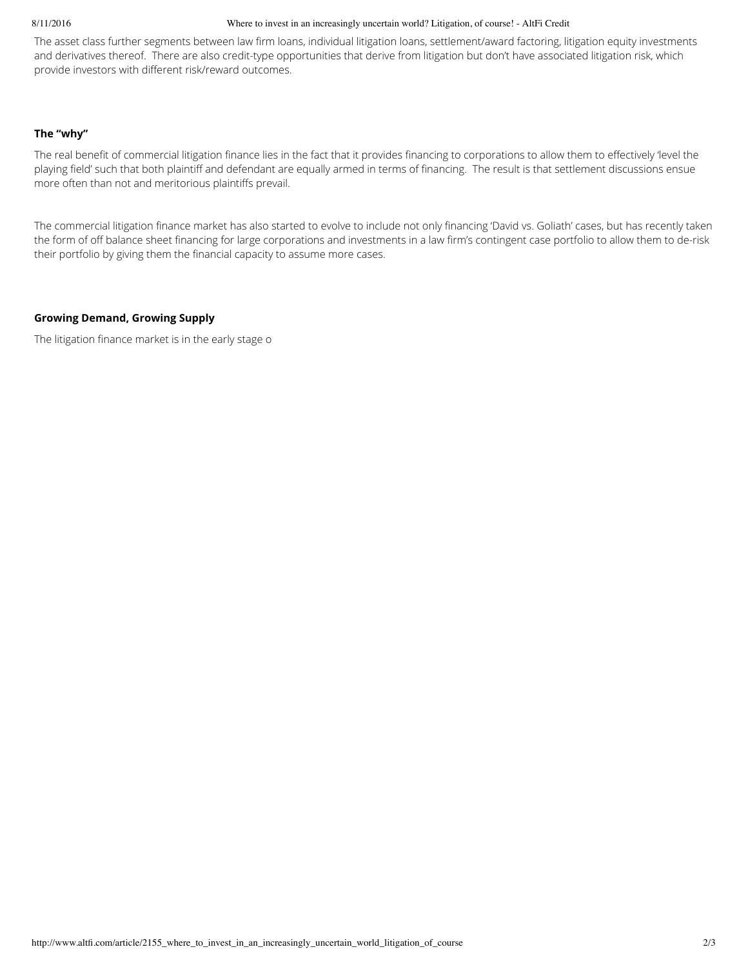#### 8/11/2016

#### Where to invest in an increasingly uncertain world? Litigation, of course! - AltFi Credit

The asset class further segments between law firm loans, individual litigation loans, settlement/award factoring, litigation equity investments and derivatives thereof. There are also credit-type opportunities that derive from litigation but don't have associated litigation risk, which provide investors with different risk/reward outcomes.

#### The "why"

The real benefit of commercial litigation finance lies in the fact that it provides financing to corporations to allow them to effectively 'level the playing field' such that both plaintiff and defendant are equally armed in terms of financing. The result is that settlement discussions ensue more often than not and meritorious plaintiffs prevail.

The commercial litigation finance market has also started to evolve to include not only financing 'David vs. Goliath' cases, but has recently taken the form of off balance sheet financing for large corporations and investments in a law firm's contingent case portfolio to allow them to de-risk their portfolio by giving them the financial capacity to assume more cases.

#### **Growing Demand, Growing Supply**

The litigation finance market is in the early stage o ts l ycle and is exper encing rowth in both demand and supply. A w publicly listed litigation finance corporations have grown significantly since listing. However, the bulk of investing capital originates om private litigation finance managers dedicated exclusively to the sector (i.e. specialist private equity firms). Many market participants describe the market as inefficient, which is one o th reasons why it is an increasingly attractive asset class.

#### **Increasing Litigation?**

In the United States the detractors o the business, mainly the US Chamber o Commerce, suggest that litigation finance would give rise to many ivolous cases being pursued, resulting in clogging up already back-logged court systems and a net drag on gross domestic product. Given that the US Chamber o Commerce is a lobby group financially supported by large corporations, you can quickly see the inherent conflict.

The litigation finance industry's response to these claims is that nothing can be rther om the truth. Litigation finance is a third party to a case that is seeking to put real money solely behind meritorious claims that they believe will result in a "win". I litigation finance companies started investing in cases without merit, they would soon be out o business, which explains why so few cases get financed.

#### **Litigation - the 'Ick' Factor**

Actually, no. In terms o social responsibility, there are w sset classes that actually contribute to improving corporate behaviour. One o the reasons there is so much litigation applicable r litigation finance is a preponderance o ad corporate behaviour. Bad corporate be aviour stems om the ct that decision m kers un erstand the financial and legal leverage they have over their smaller counterparts and use this asymmetrical relationship to their financial advantage with Il knowledge that the harmed party has a low probability of seeking justice.

What if there was an asset class, the very existence o w ic would stop corporate executives in their tracks and make them think twice about the decisions they are about to make. This is exactly what litigation finance achieves. Accordingly, investors in the asset class can boast that they are contributing to an asset class that has the power to change corporate behaviour for the better.

#### **The Business Model**

The business model is relatively straight forward. The litigation manager, after reviewing the merits of the case (often assisted by a law firm working on a contingent fee arrangement which has conducted its own due diligence), determines whether and on what terms it wants to provide a commitment to fund the plaintiff and then enters into a funding contract to codify the arrangement.

Each funding contract is bespoke and specific to the circumstances, but generally involves an allocation of the damages that are either derived from a settlement (in the majority of cases) or a court award among the plaintiff, the litigation financier and the contingent law firm. http://www.altfi.com/article/2155\_where\_to\_invest\_in\_an\_increasingly\_uncertain\_world\_litigation\_of\_course  $2/3$